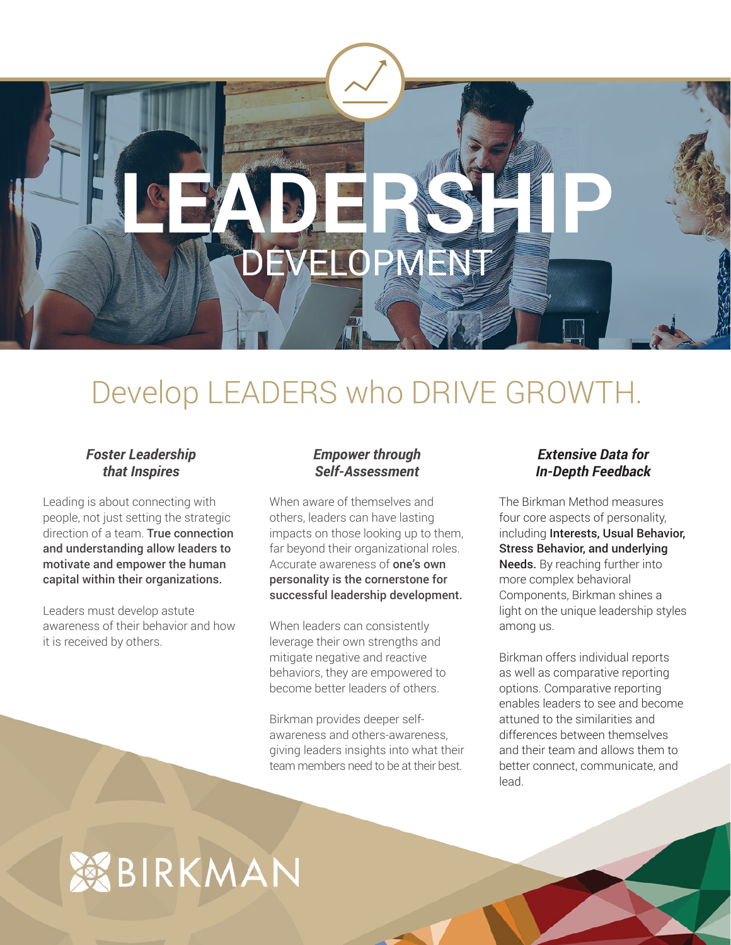

# Develop LEADERS who DRIVE GROWTH.

## *Foster Leadership that Inspires*

Leading is about connecting with people, not just setting the strategic direction of a team. True connection and understanding allow leaders to motivate and empower the human capital within their organizations.

Leaders must develop astute awareness of their behavior and how it is received by others.

## *Empower through Self-Assessment*

When aware of themselves and others, leaders can have lasting impacts on those looking up to them, far beyond their organizational roles. Accurate awareness of one's own personality is the cornerstone for successful leadership development.

When leaders can consistently leverage their own strengths and mitigate negative and reactive behaviors, they are empowered to become better leaders of others.

Birkman provides deeper selfawareness and others-awareness, giving leaders insights into what their team members need to be at their best.

# *Extensive Data for In-Depth Feedback*

The Birkman Method measures four core aspects of personality, including Interests, Usual Behavior, Stress Behavior, and underlying Needs. By reaching further into more complex behavioral Components, Birkman shines a light on the unique leadership styles among us.

Birkman offers individual reports as well as comparative reporting options. Comparative reporting enables leaders to see and become attuned to the similarities and differences between themselves and their team and allows them to better connect, communicate, and lead.